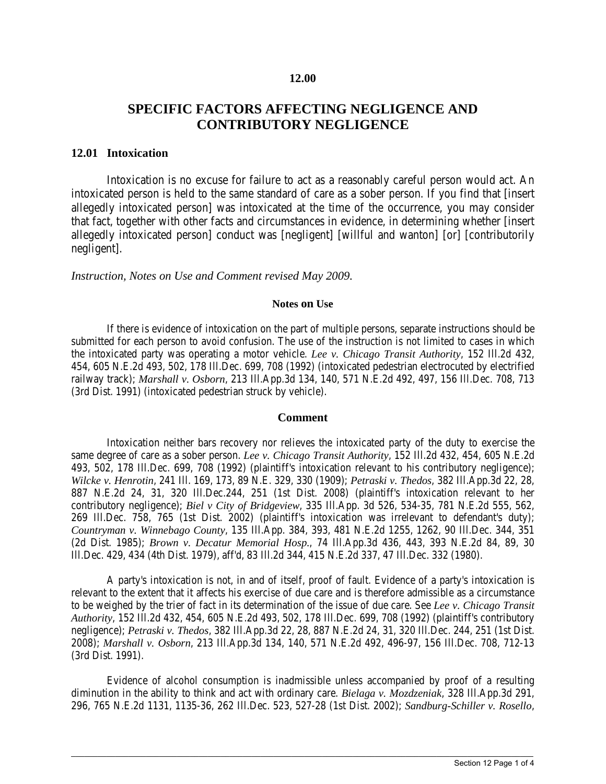#### **12.00**

## **SPECIFIC FACTORS AFFECTING NEGLIGENCE AND CONTRIBUTORY NEGLIGENCE**

### **12.01 Intoxication**

Intoxication is no excuse for failure to act as a reasonably careful person would act. An intoxicated person is held to the same standard of care as a sober person. If you find that [insert allegedly intoxicated person] was intoxicated at the time of the occurrence, you may consider that fact, together with other facts and circumstances in evidence, in determining whether [insert allegedly intoxicated person] conduct was [negligent] [willful and wanton] [or] [contributorily negligent].

#### *Instruction, Notes on Use and Comment revised May 2009.*

#### **Notes on Use**

If there is evidence of intoxication on the part of multiple persons, separate instructions should be submitted for each person to avoid confusion. The use of the instruction is not limited to cases in which the intoxicated party was operating a motor vehicle. *Lee v. Chicago Transit Authority*, 152 Ill.2d 432, 454, 605 N.E.2d 493, 502, 178 Ill.Dec. 699, 708 (1992) (intoxicated pedestrian electrocuted by electrified railway track); *Marshall v. Osborn*, 213 Ill.App.3d 134, 140, 571 N.E.2d 492, 497, 156 Ill.Dec. 708, 713 (3rd Dist. 1991) (intoxicated pedestrian struck by vehicle).

#### **Comment**

Intoxication neither bars recovery nor relieves the intoxicated party of the duty to exercise the same degree of care as a sober person. *Lee v. Chicago Transit Authority*, 152 Ill.2d 432, 454, 605 N.E.2d 493, 502, 178 Ill.Dec. 699, 708 (1992) (plaintiff's intoxication relevant to his contributory negligence); *Wilcke v. Henrotin*, 241 Ill. 169, 173, 89 N.E. 329, 330 (1909); *Petraski v. Thedos*, 382 Ill.App.3d 22, 28, 887 N.E.2d 24, 31, 320 Ill.Dec.244, 251 (1st Dist. 2008) (plaintiff's intoxication relevant to her contributory negligence); *Biel v City of Bridgeview*, 335 Ill.App. 3d 526, 534-35, 781 N.E.2d 555, 562, 269 Ill.Dec. 758, 765 (1st Dist. 2002) (plaintiff's intoxication was irrelevant to defendant's duty); *Countryman v. Winnebago County*, 135 Ill.App. 384, 393, 481 N.E.2d 1255, 1262, 90 Ill.Dec. 344, 351 (2d Dist. 1985); *Brown v. Decatur Memorial Hosp.*, 74 Ill.App.3d 436, 443, 393 N.E.2d 84, 89, 30 Ill.Dec. 429, 434 (4th Dist. 1979), aff'd, 83 Ill.2d 344, 415 N.E.2d 337, 47 Ill.Dec. 332 (1980).

A party's intoxication is not, in and of itself, proof of fault. Evidence of a party's intoxication is relevant to the extent that it affects his exercise of due care and is therefore admissible as a circumstance to be weighed by the trier of fact in its determination of the issue of due care. See *Lee v. Chicago Transit Authority*, 152 Ill.2d 432, 454, 605 N.E.2d 493, 502, 178 Ill.Dec. 699, 708 (1992) (plaintiff's contributory negligence); *Petraski v. Thedos*, 382 Ill.App.3d 22, 28, 887 N.E.2d 24, 31, 320 Ill.Dec. 244, 251 (1st Dist. 2008); *Marshall v. Osborn*, 213 Ill.App.3d 134, 140, 571 N.E.2d 492, 496-97, 156 Ill.Dec. 708, 712-13 (3rd Dist. 1991).

Evidence of alcohol consumption is inadmissible unless accompanied by proof of a resulting diminution in the ability to think and act with ordinary care. *Bielaga v. Mozdzeniak*, 328 Ill.App.3d 291, 296, 765 N.E.2d 1131, 1135-36, 262 Ill.Dec. 523, 527-28 (1st Dist. 2002); *Sandburg-Schiller v. Rosello*,

 $\_$  ,  $\_$  ,  $\_$  ,  $\_$  ,  $\_$  ,  $\_$  ,  $\_$  ,  $\_$  ,  $\_$  ,  $\_$  ,  $\_$  ,  $\_$  ,  $\_$  ,  $\_$  ,  $\_$  ,  $\_$  ,  $\_$  ,  $\_$  ,  $\_$  ,  $\_$  ,  $\_$  ,  $\_$  ,  $\_$  ,  $\_$  ,  $\_$  ,  $\_$  ,  $\_$  ,  $\_$  ,  $\_$  ,  $\_$  ,  $\_$  ,  $\_$  ,  $\_$  ,  $\_$  ,  $\_$  ,  $\_$  ,  $\_$  ,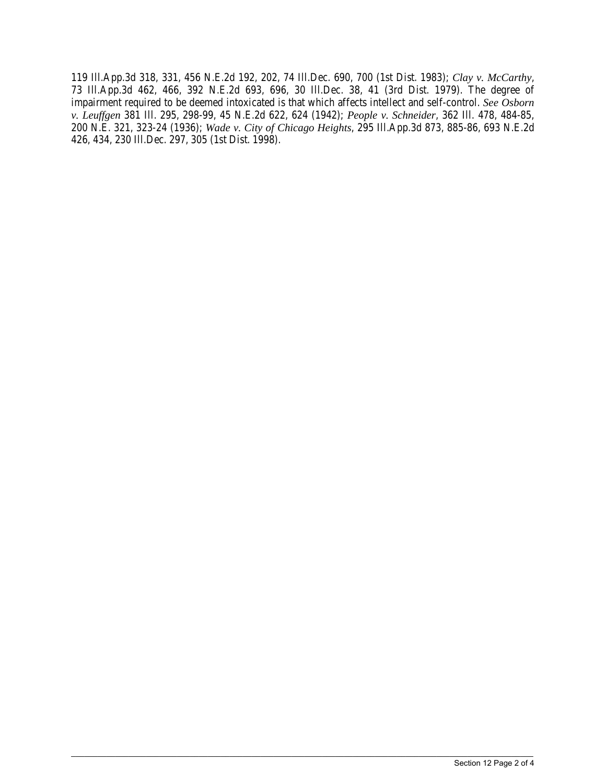119 Ill.App.3d 318, 331, 456 N.E.2d 192, 202, 74 Ill.Dec. 690, 700 (1st Dist. 1983); *Clay v. McCarthy*, 73 Ill.App.3d 462, 466, 392 N.E.2d 693, 696, 30 Ill.Dec. 38, 41 (3rd Dist. 1979). The degree of impairment required to be deemed intoxicated is that which affects intellect and self-control. *See Osborn v. Leuffgen* 381 Ill. 295, 298-99, 45 N.E.2d 622, 624 (1942); *People v. Schneider*, 362 Ill. 478, 484-85, 200 N.E. 321, 323-24 (1936); *Wade v. City of Chicago Heights*, 295 Ill.App.3d 873, 885-86, 693 N.E.2d 426, 434, 230 Ill.Dec. 297, 305 (1st Dist. 1998).

 $\_$  ,  $\_$  ,  $\_$  ,  $\_$  ,  $\_$  ,  $\_$  ,  $\_$  ,  $\_$  ,  $\_$  ,  $\_$  ,  $\_$  ,  $\_$  ,  $\_$  ,  $\_$  ,  $\_$  ,  $\_$  ,  $\_$  ,  $\_$  ,  $\_$  ,  $\_$  ,  $\_$  ,  $\_$  ,  $\_$  ,  $\_$  ,  $\_$  ,  $\_$  ,  $\_$  ,  $\_$  ,  $\_$  ,  $\_$  ,  $\_$  ,  $\_$  ,  $\_$  ,  $\_$  ,  $\_$  ,  $\_$  ,  $\_$  ,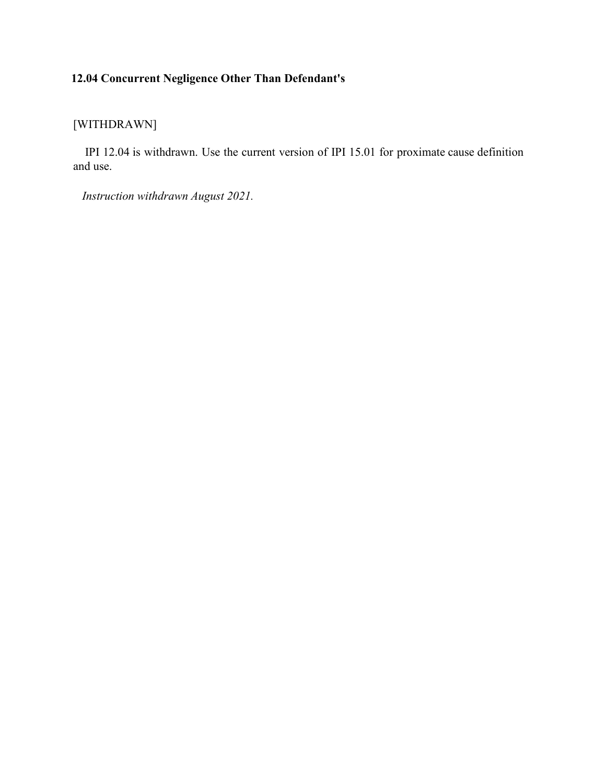# **12.04 Concurrent Negligence Other Than Defendant's**

### [WITHDRAWN]

 IPI 12.04 is withdrawn. Use the current version of IPI 15.01 for proximate cause definition and use.

*Instruction withdrawn August 2021.*